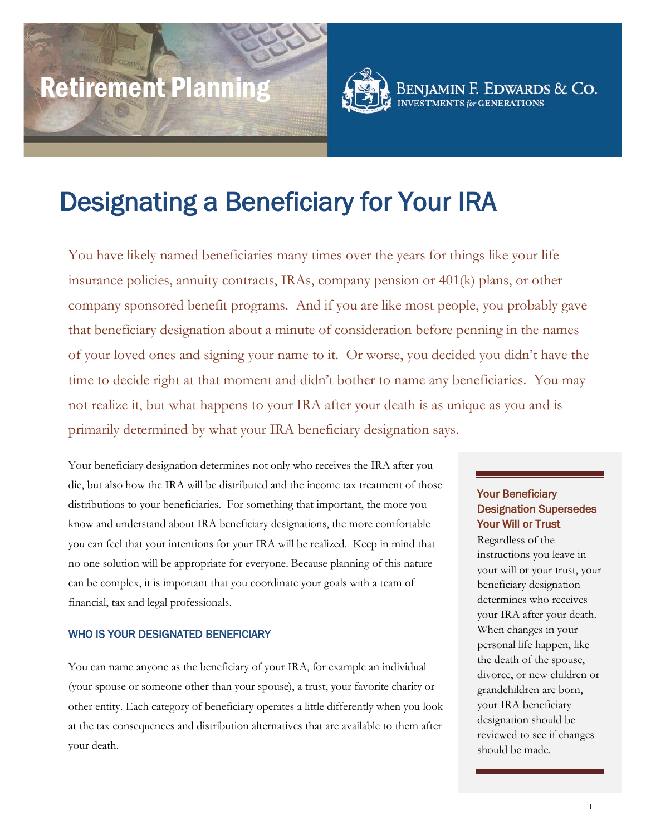# Retirement Planning



Designating a Beneficiary for Your IRA

You have likely named beneficiaries many times over the years for things like your life insurance policies, annuity contracts, IRAs, company pension or 401(k) plans, or other company sponsored benefit programs. And if you are like most people, you probably gave that beneficiary designation about a minute of consideration before penning in the names of your loved ones and signing your name to it. Or worse, you decided you didn't have the time to decide right at that moment and didn't bother to name any beneficiaries. You may not realize it, but what happens to your IRA after your death is as unique as you and is primarily determined by what your IRA beneficiary designation says.

Your beneficiary designation determines not only who receives the IRA after you die, but also how the IRA will be distributed and the income tax treatment of those distributions to your beneficiaries. For something that important, the more you know and understand about IRA beneficiary designations, the more comfortable you can feel that your intentions for your IRA will be realized. Keep in mind that no one solution will be appropriate for everyone. Because planning of this nature can be complex, it is important that you coordinate your goals with a team of financial, tax and legal professionals.

## WHO IS YOUR DESIGNATED BENEFICIARY

<span id="page-0-0"></span>You can name anyone as the beneficiary of your IRA, for example an individual (your spouse or someone other than your spouse), a trust, your favorite charity or other entity. Each category of beneficiary operates a little differently when you look at the tax consequences and distribution alternatives that are available to them after your death.

# Your Beneficiary Designation Supersedes Your Will or Trust

Benjamin F. Edwards & Co.

**INVESTMENTS for GENERATIONS** 

Regardless of the instructions you leave in your will or your trust, your beneficiary designation determines who receives your IRA after your death. When changes in your personal life happen, like the death of the spouse, divorce, or new children or grandchildren are born, your IRA beneficiary designation should be reviewed to see if changes should be made.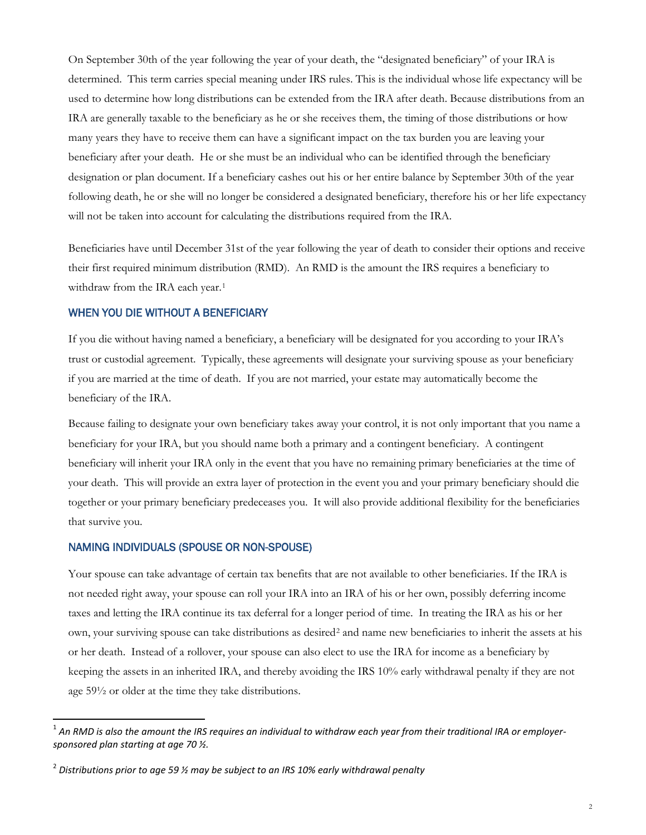On September 30th of the year following the year of your death, the "designated beneficiary" of your IRA is determined. This term carries special meaning under IRS rules. This is the individual whose life expectancy will be used to determine how long distributions can be extended from the IRA after death. Because distributions from an IRA are generally taxable to the beneficiary as he or she receives them, the timing of those distributions or how many years they have to receive them can have a significant impact on the tax burden you are leaving your beneficiary after your death. He or she must be an individual who can be identified through the beneficiary designation or plan document. If a beneficiary cashes out his or her entire balance by September 30th of the year following death, he or she will no longer be considered a designated beneficiary, therefore his or her life expectancy will not be taken into account for calculating the distributions required from the IRA.

Beneficiaries have until December 31st of the year following the year of death to consider their options and receive their first required minimum distribution (RMD). An RMD is the amount the IRS requires a beneficiary to withdraw from the IRA each year.<sup>[1](#page-0-0)</sup>

## WHEN YOU DIE WITHOUT A BENEFICIARY

If you die without having named a beneficiary, a beneficiary will be designated for you according to your IRA's trust or custodial agreement. Typically, these agreements will designate your surviving spouse as your beneficiary if you are married at the time of death. If you are not married, your estate may automatically become the beneficiary of the IRA.

Because failing to designate your own beneficiary takes away your control, it is not only important that you name a beneficiary for your IRA, but you should name both a primary and a contingent beneficiary. A contingent beneficiary will inherit your IRA only in the event that you have no remaining primary beneficiaries at the time of your death. This will provide an extra layer of protection in the event you and your primary beneficiary should die together or your primary beneficiary predeceases you. It will also provide additional flexibility for the beneficiaries that survive you.

## NAMING INDIVIDUALS (SPOUSE OR NON-SPOUSE)

 $\overline{a}$ 

Your spouse can take advantage of certain tax benefits that are not available to other beneficiaries. If the IRA is not needed right away, your spouse can roll your IRA into an IRA of his or her own, possibly deferring income taxes and letting the IRA continue its tax deferral for a longer period of time. In treating the IRA as his or her own, your surviving spouse can take distributions as desired[2](#page-1-0) and name new beneficiaries to inherit the assets at his or her death. Instead of a rollover, your spouse can also elect to use the IRA for income as a beneficiary by keeping the assets in an inherited IRA, and thereby avoiding the IRS 10% early withdrawal penalty if they are not age 59½ or older at the time they take distributions.

<sup>&</sup>lt;sup>1</sup> An RMD is also the amount the IRS requires an individual to withdraw each year from their traditional IRA or employer*sponsored plan starting at age 70 ½.*

<span id="page-1-0"></span><sup>2</sup> *Distributions prior to age 59 ½ may be subject to an IRS 10% early withdrawal penalty*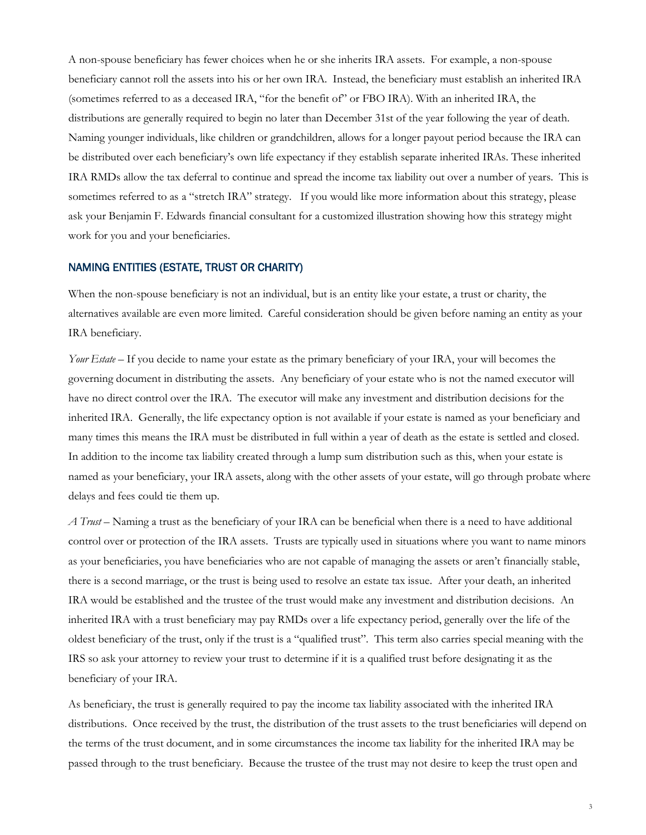A non-spouse beneficiary has fewer choices when he or she inherits IRA assets. For example, a non-spouse beneficiary cannot roll the assets into his or her own IRA. Instead, the beneficiary must establish an inherited IRA (sometimes referred to as a deceased IRA, "for the benefit of" or FBO IRA). With an inherited IRA, the distributions are generally required to begin no later than December 31st of the year following the year of death. Naming younger individuals, like children or grandchildren, allows for a longer payout period because the IRA can be distributed over each beneficiary's own life expectancy if they establish separate inherited IRAs. These inherited IRA RMDs allow the tax deferral to continue and spread the income tax liability out over a number of years. This is sometimes referred to as a "stretch IRA" strategy. If you would like more information about this strategy, please ask your Benjamin F. Edwards financial consultant for a customized illustration showing how this strategy might work for you and your beneficiaries.

#### NAMING ENTITIES (ESTATE, TRUST OR CHARITY)

When the non-spouse beneficiary is not an individual, but is an entity like your estate, a trust or charity, the alternatives available are even more limited. Careful consideration should be given before naming an entity as your IRA beneficiary.

*Your Estate* – If you decide to name your estate as the primary beneficiary of your IRA, your will becomes the governing document in distributing the assets. Any beneficiary of your estate who is not the named executor will have no direct control over the IRA. The executor will make any investment and distribution decisions for the inherited IRA. Generally, the life expectancy option is not available if your estate is named as your beneficiary and many times this means the IRA must be distributed in full within a year of death as the estate is settled and closed. In addition to the income tax liability created through a lump sum distribution such as this, when your estate is named as your beneficiary, your IRA assets, along with the other assets of your estate, will go through probate where delays and fees could tie them up.

*A Trust* – Naming a trust as the beneficiary of your IRA can be beneficial when there is a need to have additional control over or protection of the IRA assets. Trusts are typically used in situations where you want to name minors as your beneficiaries, you have beneficiaries who are not capable of managing the assets or aren't financially stable, there is a second marriage, or the trust is being used to resolve an estate tax issue. After your death, an inherited IRA would be established and the trustee of the trust would make any investment and distribution decisions. An inherited IRA with a trust beneficiary may pay RMDs over a life expectancy period, generally over the life of the oldest beneficiary of the trust, only if the trust is a "qualified trust". This term also carries special meaning with the IRS so ask your attorney to review your trust to determine if it is a qualified trust before designating it as the beneficiary of your IRA.

As beneficiary, the trust is generally required to pay the income tax liability associated with the inherited IRA distributions. Once received by the trust, the distribution of the trust assets to the trust beneficiaries will depend on the terms of the trust document, and in some circumstances the income tax liability for the inherited IRA may be passed through to the trust beneficiary. Because the trustee of the trust may not desire to keep the trust open and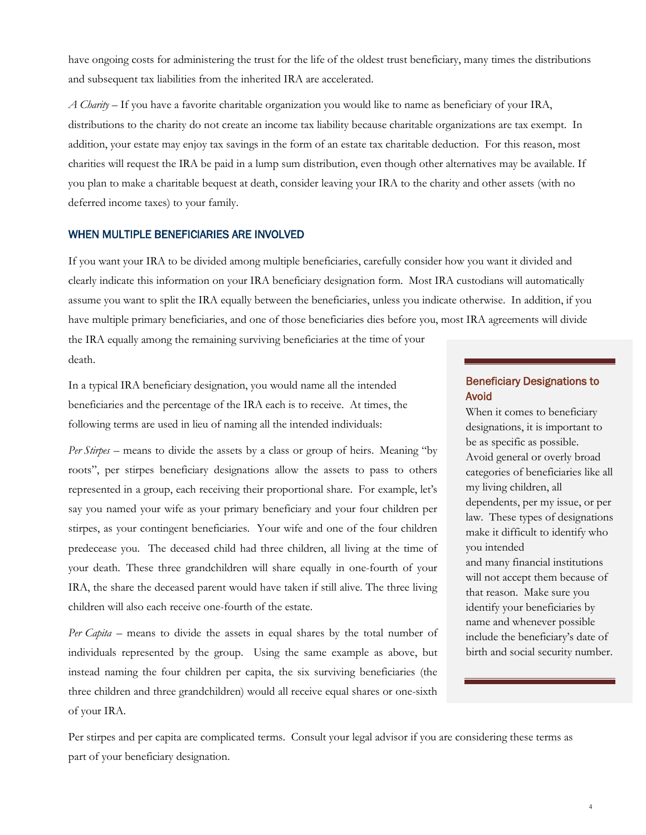have ongoing costs for administering the trust for the life of the oldest trust beneficiary, many times the distributions and subsequent tax liabilities from the inherited IRA are accelerated.

*A Charity* – If you have a favorite charitable organization you would like to name as beneficiary of your IRA, distributions to the charity do not create an income tax liability because charitable organizations are tax exempt. In addition, your estate may enjoy tax savings in the form of an estate tax charitable deduction. For this reason, most charities will request the IRA be paid in a lump sum distribution, even though other alternatives may be available. If you plan to make a charitable bequest at death, consider leaving your IRA to the charity and other assets (with no deferred income taxes) to your family.

### WHEN MULTIPLE BENEFICIARIES ARE INVOLVED

If you want your IRA to be divided among multiple beneficiaries, carefully consider how you want it divided and clearly indicate this information on your IRA beneficiary designation form. Most IRA custodians will automatically assume you want to split the IRA equally between the beneficiaries, unless you indicate otherwise. In addition, if you have multiple primary beneficiaries, and one of those beneficiaries dies before you, most IRA agreements will divide the IRA equally among the remaining surviving beneficiaries at the time of your death.

In a typical IRA beneficiary designation, you would name all the intended beneficiaries and the percentage of the IRA each is to receive. At times, the

following terms are used in lieu of naming all the intended individuals: *Per Stirpes* – means to divide the assets by a class or group of heirs. Meaning "by

roots", per stirpes beneficiary designations allow the assets to pass to others represented in a group, each receiving their proportional share. For example, let's say you named your wife as your primary beneficiary and your four children per stirpes, as your contingent beneficiaries. Your wife and one of the four children predecease you. The deceased child had three children, all living at the time of your death. These three grandchildren will share equally in one-fourth of your IRA, the share the deceased parent would have taken if still alive. The three living children will also each receive one-fourth of the estate.

*Per Capita* – means to divide the assets in equal shares by the total number of individuals represented by the group. Using the same example as above, but instead naming the four children per capita, the six surviving beneficiaries (the three children and three grandchildren) would all receive equal shares or one-sixth of your IRA.

# Beneficiary Designations to Avoid

When it comes to beneficiary designations, it is important to be as specific as possible. Avoid general or overly broad categories of beneficiaries like all my living children, all dependents, per my issue, or per law. These types of designations make it difficult to identify who you intended and many financial institutions will not accept them because of that reason. Make sure you identify your beneficiaries by name and whenever possible include the beneficiary's date of birth and social security number.

Per stirpes and per capita are complicated terms. Consult your legal advisor if you are considering these terms as part of your beneficiary designation.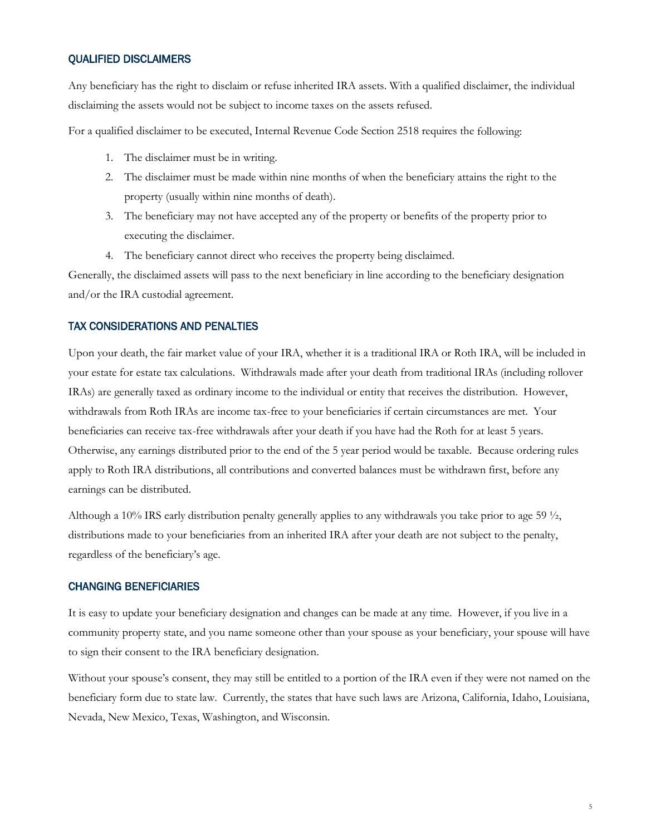## QUALIFIED DISCLAIMERS

Any beneficiary has the right to disclaim or refuse inherited IRA assets. With a qualified disclaimer, the individual disclaiming the assets would not be subject to income taxes on the assets refused.

For a qualified disclaimer to be executed, Internal Revenue Code Section 2518 requires the following:

- 1. The disclaimer must be in writing.
- 2. The disclaimer must be made within nine months of when the beneficiary attains the right to the property (usually within nine months of death).
- 3. The beneficiary may not have accepted any of the property or benefits of the property prior to executing the disclaimer.
- 4. The beneficiary cannot direct who receives the property being disclaimed.

Generally, the disclaimed assets will pass to the next beneficiary in line according to the beneficiary designation and/or the IRA custodial agreement.

### TAX CONSIDERATIONS AND PENALTIES

Upon your death, the fair market value of your IRA, whether it is a traditional IRA or Roth IRA, will be included in your estate for estate tax calculations. Withdrawals made after your death from traditional IRAs (including rollover IRAs) are generally taxed as ordinary income to the individual or entity that receives the distribution. However, withdrawals from Roth IRAs are income tax-free to your beneficiaries if certain circumstances are met. Your beneficiaries can receive tax-free withdrawals after your death if you have had the Roth for at least 5 years. Otherwise, any earnings distributed prior to the end of the 5 year period would be taxable. Because ordering rules apply to Roth IRA distributions, all contributions and converted balances must be withdrawn first, before any earnings can be distributed.

Although a 10% IRS early distribution penalty generally applies to any withdrawals you take prior to age 59 ½, distributions made to your beneficiaries from an inherited IRA after your death are not subject to the penalty, regardless of the beneficiary's age.

## CHANGING BENEFICIARIES

It is easy to update your beneficiary designation and changes can be made at any time. However, if you live in a community property state, and you name someone other than your spouse as your beneficiary, your spouse will have to sign their consent to the IRA beneficiary designation.

Without your spouse's consent, they may still be entitled to a portion of the IRA even if they were not named on the beneficiary form due to state law. Currently, the states that have such laws are Arizona, California, Idaho, Louisiana, Nevada, New Mexico, Texas, Washington, and Wisconsin.